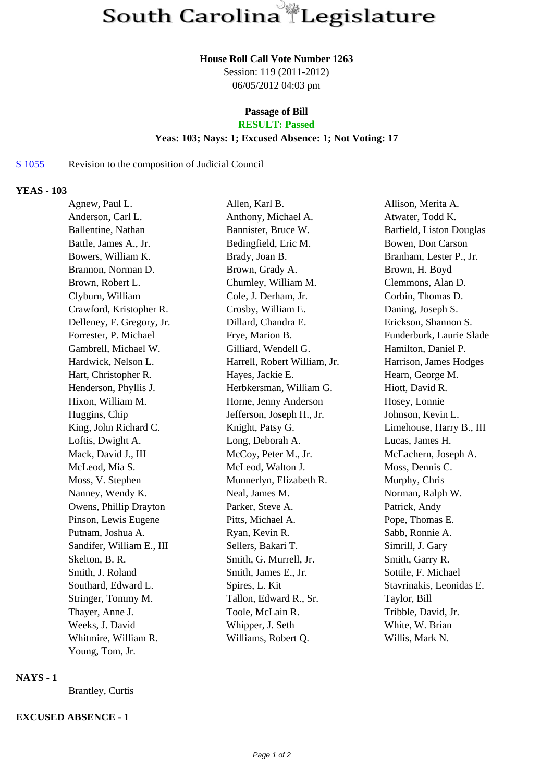#### **House Roll Call Vote Number 1263**

Session: 119 (2011-2012) 06/05/2012 04:03 pm

# **Passage of Bill**

## **RESULT: Passed**

### **Yeas: 103; Nays: 1; Excused Absence: 1; Not Voting: 17**

## S 1055 Revision to the composition of Judicial Council

## **YEAS - 103**

| Agnew, Paul L.            | Allen, Karl B.               | Allison, Merita A.       |
|---------------------------|------------------------------|--------------------------|
| Anderson, Carl L.         | Anthony, Michael A.          | Atwater, Todd K.         |
| Ballentine, Nathan        | Bannister, Bruce W.          | Barfield, Liston Douglas |
| Battle, James A., Jr.     | Bedingfield, Eric M.         | Bowen, Don Carson        |
| Bowers, William K.        | Brady, Joan B.               | Branham, Lester P., Jr.  |
| Brannon, Norman D.        | Brown, Grady A.              | Brown, H. Boyd           |
| Brown, Robert L.          | Chumley, William M.          | Clemmons, Alan D.        |
| Clyburn, William          | Cole, J. Derham, Jr.         | Corbin, Thomas D.        |
| Crawford, Kristopher R.   | Crosby, William E.           | Daning, Joseph S.        |
| Delleney, F. Gregory, Jr. | Dillard, Chandra E.          | Erickson, Shannon S.     |
| Forrester, P. Michael     | Frye, Marion B.              | Funderburk, Laurie Slade |
| Gambrell, Michael W.      | Gilliard, Wendell G.         | Hamilton, Daniel P.      |
| Hardwick, Nelson L.       | Harrell, Robert William, Jr. | Harrison, James Hodges   |
| Hart, Christopher R.      | Hayes, Jackie E.             | Hearn, George M.         |
| Henderson, Phyllis J.     | Herbkersman, William G.      | Hiott, David R.          |
| Hixon, William M.         | Horne, Jenny Anderson        | Hosey, Lonnie            |
| Huggins, Chip             | Jefferson, Joseph H., Jr.    | Johnson, Kevin L.        |
| King, John Richard C.     | Knight, Patsy G.             | Limehouse, Harry B., III |
| Loftis, Dwight A.         | Long, Deborah A.             | Lucas, James H.          |
| Mack, David J., III       | McCoy, Peter M., Jr.         | McEachern, Joseph A.     |
| McLeod, Mia S.            | McLeod, Walton J.            | Moss, Dennis C.          |
| Moss, V. Stephen          | Munnerlyn, Elizabeth R.      | Murphy, Chris            |
| Nanney, Wendy K.          | Neal, James M.               | Norman, Ralph W.         |
| Owens, Phillip Drayton    | Parker, Steve A.             | Patrick, Andy            |
| Pinson, Lewis Eugene      | Pitts, Michael A.            | Pope, Thomas E.          |
| Putnam, Joshua A.         | Ryan, Kevin R.               | Sabb, Ronnie A.          |
| Sandifer, William E., III | Sellers, Bakari T.           | Simrill, J. Gary         |
| Skelton, B. R.            | Smith, G. Murrell, Jr.       | Smith, Garry R.          |
| Smith, J. Roland          | Smith, James E., Jr.         | Sottile, F. Michael      |
| Southard, Edward L.       | Spires, L. Kit               | Stavrinakis, Leonidas E. |
| Stringer, Tommy M.        | Tallon, Edward R., Sr.       | Taylor, Bill             |
| Thayer, Anne J.           | Toole, McLain R.             | Tribble, David, Jr.      |
| Weeks, J. David           | Whipper, J. Seth             | White, W. Brian          |
| Whitmire, William R.      | Williams, Robert Q.          | Willis, Mark N.          |
| Young, Tom, Jr.           |                              |                          |
|                           |                              |                          |

### **NAYS - 1**

Brantley, Curtis

## **EXCUSED ABSENCE - 1**